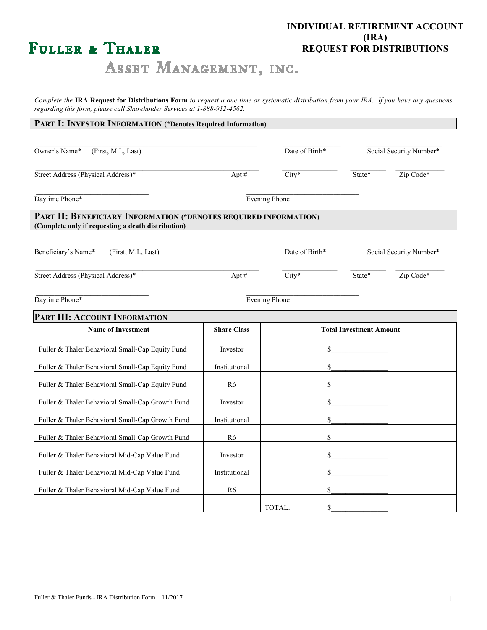# FULLER & THALER

# **INDIVIDUAL RETIREMENT ACCOUNT (IRA) REQUEST FOR DISTRIBUTIONS**

ASSET MANAGEMENT, INC.

*Complete the* **IRA Request for Distributions Form** *to request a one time or systematic distribution from your IRA. If you have any questions regarding this form, please call Shareholder Services at 1-888-912-4562.* 

## **PART I: INVESTOR INFORMATION (\*Denotes Required Information)**

| Owner's Name*<br>(First, M.I., Last)                                                                                   |                    | Date of Birth*                 |        | Social Security Number* |  |
|------------------------------------------------------------------------------------------------------------------------|--------------------|--------------------------------|--------|-------------------------|--|
| Street Address (Physical Address)*                                                                                     | $City*$<br>Apt#    |                                | State* | Zip Code*               |  |
| Daytime Phone*                                                                                                         | Evening Phone      |                                |        |                         |  |
| PART II: BENEFICIARY INFORMATION (*DENOTES REQUIRED INFORMATION)<br>(Complete only if requesting a death distribution) |                    |                                |        |                         |  |
| Beneficiary's Name*<br>(First, M.I., Last)                                                                             |                    | Date of Birth*                 |        | Social Security Number* |  |
| Street Address (Physical Address)*                                                                                     | Apt#               | $City*$                        | State* | Zip Code*               |  |
| Daytime Phone*                                                                                                         |                    | <b>Evening Phone</b>           |        |                         |  |
| PART III: ACCOUNT INFORMATION                                                                                          |                    |                                |        |                         |  |
| <b>Name of Investment</b>                                                                                              | <b>Share Class</b> | <b>Total Investment Amount</b> |        |                         |  |
| Fuller & Thaler Behavioral Small-Cap Equity Fund                                                                       | Investor           | \$                             |        |                         |  |
| Fuller & Thaler Behavioral Small-Cap Equity Fund                                                                       | Institutional      | \$                             |        |                         |  |
| Fuller & Thaler Behavioral Small-Cap Equity Fund                                                                       | R <sub>6</sub>     | \$                             |        |                         |  |
| Fuller & Thaler Behavioral Small-Cap Growth Fund                                                                       | Investor           | \$                             |        |                         |  |
| Fuller & Thaler Behavioral Small-Cap Growth Fund                                                                       | Institutional      | \$                             |        |                         |  |
| Fuller & Thaler Behavioral Small-Cap Growth Fund                                                                       | R6                 | \$                             |        |                         |  |
| Fuller & Thaler Behavioral Mid-Cap Value Fund                                                                          | Investor           | \$                             |        |                         |  |
| Fuller & Thaler Behavioral Mid-Cap Value Fund                                                                          | Institutional      | \$                             |        |                         |  |
| Fuller & Thaler Behavioral Mid-Cap Value Fund                                                                          | R <sub>6</sub>     | \$                             |        |                         |  |
|                                                                                                                        |                    | \$<br>TOTAL:                   |        |                         |  |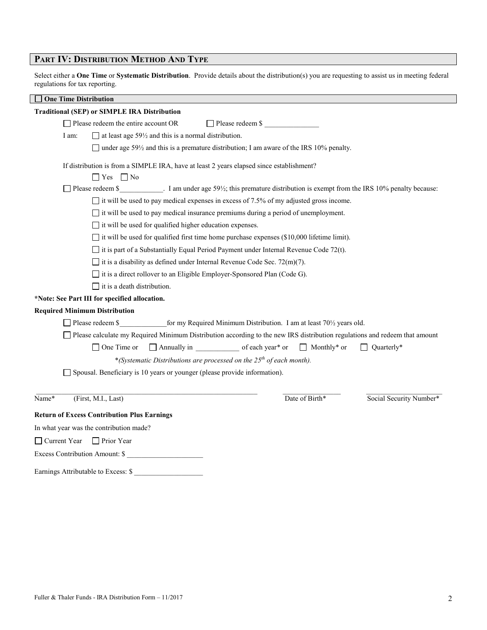# **PART IV: DISTRIBUTION METHOD AND TYPE**

Select either a **One Time** or **Systematic Distribution**. Provide details about the distribution(s) you are requesting to assist us in meeting federal regulations for tax reporting.

| <b>One Time Distribution</b> |                                                                                                                                                     |
|------------------------------|-----------------------------------------------------------------------------------------------------------------------------------------------------|
|                              | <b>Traditional (SEP) or SIMPLE IRA Distribution</b>                                                                                                 |
|                              | $\Box$ Please redeem the entire account OR<br>Please redeem \$                                                                                      |
| I am:                        | $\Box$ at least age 59 $\frac{1}{2}$ and this is a normal distribution.                                                                             |
|                              | under age 591/2 and this is a premature distribution; I am aware of the IRS 10% penalty.                                                            |
|                              | If distribution is from a SIMPLE IRA, have at least 2 years elapsed since establishment?                                                            |
|                              | $\Box$ Yes $\Box$ No                                                                                                                                |
|                              | Please redeem $\frac{1}{2}$ 1 am under age 59 <sup>1</sup> / <sub>2</sub> ; this premature distribution is exempt from the IRS 10% penalty because: |
|                              | $\Box$ it will be used to pay medical expenses in excess of 7.5% of my adjusted gross income.                                                       |
|                              | $\Box$ it will be used to pay medical insurance premiums during a period of unemployment.                                                           |
|                              | $\Box$ it will be used for qualified higher education expenses.                                                                                     |
|                              | $\Box$ it will be used for qualified first time home purchase expenses (\$10,000 lifetime limit).                                                   |
|                              | $\Box$ it is part of a Substantially Equal Period Payment under Internal Revenue Code 72(t).                                                        |
|                              | $\Box$ it is a disability as defined under Internal Revenue Code Sec. 72(m)(7).                                                                     |
|                              | it is a direct rollover to an Eligible Employer-Sponsored Plan (Code G).                                                                            |
|                              | $\Box$ it is a death distribution.                                                                                                                  |
|                              | *Note: See Part III for specified allocation.                                                                                                       |
|                              | <b>Required Minimum Distribution</b>                                                                                                                |
|                              | $\Box$ Please redeem \$<br>for my Required Minimum Distribution. I am at least $70\frac{1}{2}$ years old.                                           |
|                              | Please calculate my Required Minimum Distribution according to the new IRS distribution regulations and redeem that amount                          |
|                              | $\Box$ Quarterly*<br>$\Box$ One Time or                                                                                                             |
|                              | *(Systematic Distributions are processed on the $25th$ of each month).                                                                              |
|                              | Spousal. Beneficiary is 10 years or younger (please provide information).                                                                           |
|                              |                                                                                                                                                     |
| Name*                        | Date of Birth*<br>Social Security Number*<br>(First, M.I., Last)                                                                                    |
|                              | <b>Return of Excess Contribution Plus Earnings</b>                                                                                                  |
|                              | In what year was the contribution made?                                                                                                             |
| Current Year                 | $\Box$ Prior Year                                                                                                                                   |
|                              | Excess Contribution Amount: \$                                                                                                                      |
|                              | Earnings Attributable to Excess: \$                                                                                                                 |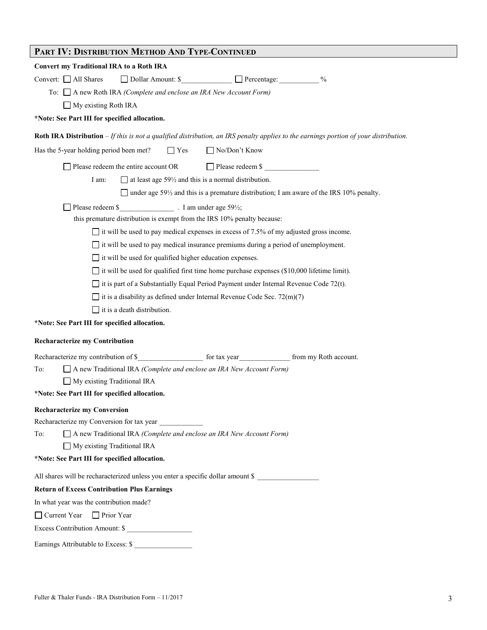| PART IV: DISTRIBUTION METHOD AND TYPE-CONTINUED                                                                                       |
|---------------------------------------------------------------------------------------------------------------------------------------|
| <b>Convert my Traditional IRA to a Roth IRA</b>                                                                                       |
| Dollar Amount: \$<br>$\frac{0}{0}$<br>Convert: $\Box$ All Shares                                                                      |
| To: $\Box$ A new Roth IRA <i>(Complete and enclose an IRA New Account Form)</i>                                                       |
| $\Box$ My existing Roth IRA                                                                                                           |
| *Note: See Part III for specified allocation.                                                                                         |
| Roth IRA Distribution - If this is not a qualified distribution, an IRS penalty applies to the earnings portion of your distribution. |
| □ No/Don't Know<br>Has the 5-year holding period been met?<br>$\Box$ Yes                                                              |
| $\Box$ Please redeem the entire account OR<br>Please redeem \$                                                                        |
| $\Box$ at least age 59 $\frac{1}{2}$ and this is a normal distribution.<br>I am:                                                      |
| $\Box$ under age 59 <sup>1</sup> / <sub>2</sub> and this is a premature distribution; I am aware of the IRS 10% penalty.              |
| Please redeem \$ T am under age 59 <sup>1/2</sup> ;                                                                                   |
| this premature distribution is exempt from the IRS 10% penalty because:                                                               |
| $\Box$ it will be used to pay medical expenses in excess of 7.5% of my adjusted gross income.                                         |
| $\Box$ it will be used to pay medical insurance premiums during a period of unemployment.                                             |
| $\Box$ it will be used for qualified higher education expenses.                                                                       |
| $\Box$ it will be used for qualified first time home purchase expenses (\$10,000 lifetime limit).                                     |
| $\Box$ it is part of a Substantially Equal Period Payment under Internal Revenue Code 72(t).                                          |
| $\Box$ it is a disability as defined under Internal Revenue Code Sec. 72(m)(7)                                                        |
| $\Box$ it is a death distribution.                                                                                                    |
| *Note: See Part III for specified allocation.                                                                                         |
| <b>Recharacterize my Contribution</b>                                                                                                 |
|                                                                                                                                       |
| To:<br>$\Box$ A new Traditional IRA <i>(Complete and enclose an IRA New Account Form)</i>                                             |
| $\Box$ My existing Traditional IRA                                                                                                    |
| *Note: See Part III for specified allocation.                                                                                         |
| <b>Recharacterize my Conversion</b>                                                                                                   |
|                                                                                                                                       |
| $\Box$ A new Traditional IRA (Complete and enclose an IRA New Account Form)<br>To:                                                    |
| $\Box$ My existing Traditional IRA                                                                                                    |
| *Note: See Part III for specified allocation.                                                                                         |
| All shares will be recharacterized unless you enter a specific dollar amount \$                                                       |
| <b>Return of Excess Contribution Plus Earnings</b>                                                                                    |
| In what year was the contribution made?                                                                                               |
| $\Box$ Current Year<br>$\Box$ Prior Year                                                                                              |
| Excess Contribution Amount: \$                                                                                                        |
| Earnings Attributable to Excess: \$                                                                                                   |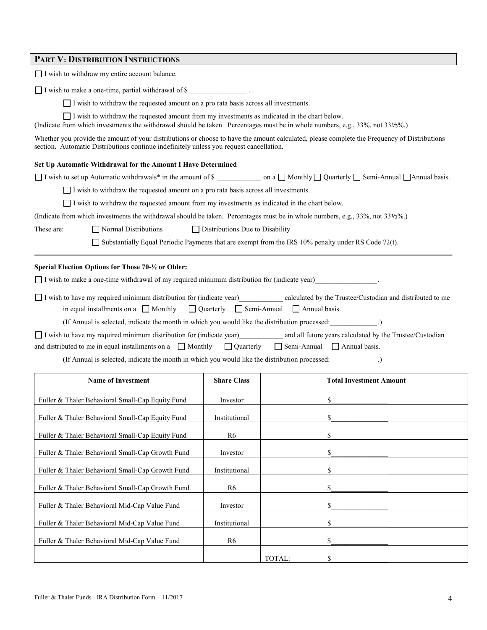| <b>PART V: DISTRIBUTION INSTRUCTIONS</b> |
|------------------------------------------|
|------------------------------------------|

| Set Up Automatic Withdrawal for the Amount I Have Determined<br>□ I wish to set up Automatic withdrawals* in the amount of \$ ________________ on a □ Monthly □ Quarterly □ Semi-Annual □Annual basis. |                                                                                                                                |  |  |  |
|--------------------------------------------------------------------------------------------------------------------------------------------------------------------------------------------------------|--------------------------------------------------------------------------------------------------------------------------------|--|--|--|
| $\Box$ I wish to withdraw the requested amount on a pro rata basis across all investments.                                                                                                             |                                                                                                                                |  |  |  |
| $\Box$ I wish to withdraw the requested amount from my investments as indicated in the chart below.                                                                                                    |                                                                                                                                |  |  |  |
|                                                                                                                                                                                                        | (Indicate from which investments the withdrawal should be taken. Percentages must be in whole numbers, e.g., 33%, not 331/3%.) |  |  |  |
| Normal Distributions<br>These are:<br>$\Box$ Distributions Due to Disability                                                                                                                           |                                                                                                                                |  |  |  |
| Substantially Equal Periodic Payments that are exempt from the IRS 10% penalty under RS Code 72(t).                                                                                                    |                                                                                                                                |  |  |  |
|                                                                                                                                                                                                        |                                                                                                                                |  |  |  |
| Special Election Options for Those 70-1/2 or Older:                                                                                                                                                    |                                                                                                                                |  |  |  |
| $\Box$ I wish to make a one-time withdrawal of my required minimum distribution for (indicate year)                                                                                                    |                                                                                                                                |  |  |  |
| I wish to have my required minimum distribution for (indicate year) calculated by the Trustee/Custodian and distributed to me                                                                          |                                                                                                                                |  |  |  |
| in equal installments on a $\Box$ Monthly $\Box$ Quarterly $\Box$ Semi-Annual $\Box$ Annual basis.                                                                                                     |                                                                                                                                |  |  |  |
| (If Annual is selected, indicate the month in which you would like the distribution processed: ____________.)                                                                                          |                                                                                                                                |  |  |  |
| I wish to have my required minimum distribution for (indicate year) and all future years calculated by the Trustee/Custodian                                                                           |                                                                                                                                |  |  |  |
| and distributed to me in equal installments on a $\Box$ Monthly $\Box$ Quarterly                                                                                                                       | $\Box$ Semi-Annual $\Box$ Annual basis.                                                                                        |  |  |  |
| (If Annual is selected, indicate the month in which you would like the distribution processed:                                                                                                         |                                                                                                                                |  |  |  |

| <b>Name of Investment</b>                        | <b>Share Class</b> |        | Total Investment Amount |
|--------------------------------------------------|--------------------|--------|-------------------------|
| Fuller & Thaler Behavioral Small-Cap Equity Fund | Investor           |        | S.                      |
| Fuller & Thaler Behavioral Small-Cap Equity Fund | Institutional      |        |                         |
| Fuller & Thaler Behavioral Small-Cap Equity Fund | R6                 |        |                         |
| Fuller & Thaler Behavioral Small-Cap Growth Fund | Investor           |        | \$                      |
| Fuller & Thaler Behavioral Small-Cap Growth Fund | Institutional      |        |                         |
| Fuller & Thaler Behavioral Small-Cap Growth Fund | R6                 |        |                         |
| Fuller & Thaler Behavioral Mid-Cap Value Fund    | Investor           |        |                         |
| Fuller & Thaler Behavioral Mid-Cap Value Fund    | Institutional      |        |                         |
| Fuller & Thaler Behavioral Mid-Cap Value Fund    | R6                 |        | \$                      |
|                                                  |                    | TOTAL: |                         |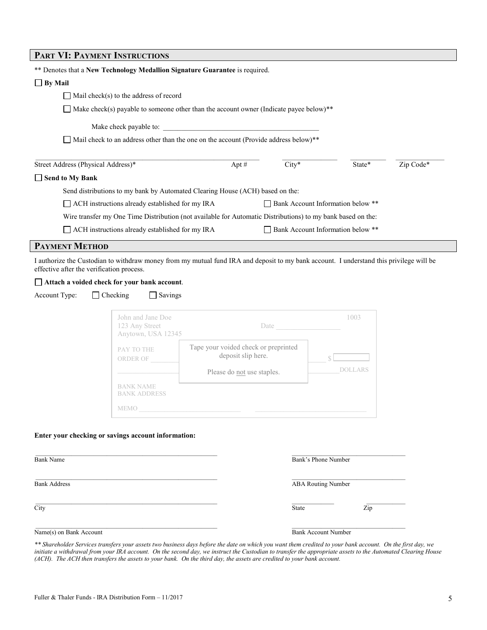| PART VI: PAYMENT INSTRUCTIONS                              |                                                                                                                                                                                                                              |                                                            |       |                                   |           |
|------------------------------------------------------------|------------------------------------------------------------------------------------------------------------------------------------------------------------------------------------------------------------------------------|------------------------------------------------------------|-------|-----------------------------------|-----------|
|                                                            | ** Denotes that a New Technology Medallion Signature Guarantee is required.                                                                                                                                                  |                                                            |       |                                   |           |
| $\Box$ By Mail                                             |                                                                                                                                                                                                                              |                                                            |       |                                   |           |
|                                                            | $\Box$ Mail check(s) to the address of record                                                                                                                                                                                |                                                            |       |                                   |           |
|                                                            | $\Box$ Make check(s) payable to someone other than the account owner (Indicate payee below)**                                                                                                                                |                                                            |       |                                   |           |
|                                                            | Make check payable to:                                                                                                                                                                                                       |                                                            |       |                                   |           |
|                                                            | Mail check to an address other than the one on the account (Provide address below)**                                                                                                                                         |                                                            |       |                                   |           |
|                                                            |                                                                                                                                                                                                                              |                                                            |       |                                   |           |
| Street Address (Physical Address)*                         |                                                                                                                                                                                                                              | Apt #                                                      | City* | State*                            | Zip Code* |
| $\Box$ Send to My Bank                                     |                                                                                                                                                                                                                              |                                                            |       |                                   |           |
|                                                            | Send distributions to my bank by Automated Clearing House (ACH) based on the:                                                                                                                                                |                                                            |       |                                   |           |
|                                                            | □ ACH instructions already established for my IRA                                                                                                                                                                            |                                                            |       | Bank Account Information below ** |           |
|                                                            | Wire transfer my One Time Distribution (not available for Automatic Distributions) to my bank based on the:                                                                                                                  |                                                            |       |                                   |           |
|                                                            | ACH instructions already established for my IRA                                                                                                                                                                              |                                                            |       | Bank Account Information below ** |           |
| <b>PAYMENT METHOD</b>                                      |                                                                                                                                                                                                                              |                                                            |       |                                   |           |
| effective after the verification process.<br>Account Type: | I authorize the Custodian to withdraw money from my mutual fund IRA and deposit to my bank account. I understand this privilege will be<br>Attach a voided check for your bank account.<br>$\Box$ Checking<br>$\Box$ Savings |                                                            |       |                                   |           |
|                                                            | John and Jane Doe<br>123 Any Street<br>Anytown, USA 12345                                                                                                                                                                    |                                                            | Date  | 1003                              |           |
|                                                            | PAY TO THE<br>ORDER OF                                                                                                                                                                                                       | Tape your voided check or preprinted<br>deposit slip here. |       |                                   |           |
|                                                            |                                                                                                                                                                                                                              | Please do not use staples.                                 |       | <b>DOLLARS</b>                    |           |
|                                                            | <b>BANK NAME</b><br><b>BANK ADDRESS</b>                                                                                                                                                                                      |                                                            |       |                                   |           |
|                                                            | <b>MEMO</b>                                                                                                                                                                                                                  |                                                            |       |                                   |           |
| <b>Bank Name</b>                                           | Enter your checking or savings account information:                                                                                                                                                                          |                                                            |       | Bank's Phone Number               |           |
| <b>Bank Address</b>                                        |                                                                                                                                                                                                                              |                                                            |       | <b>ABA Routing Number</b>         |           |
| $\overline{City}$                                          |                                                                                                                                                                                                                              |                                                            | State | $\overline{\mathrm{Zip}}$         |           |

Name(s) on Bank Account **Bank Account** Bank Account Number

*\*\* Shareholder Services transfers your assets two business days before the date on which you want them credited to your bank account. On the first day, we initiate a withdrawal from your IRA account. On the second day, we instruct the Custodian to transfer the appropriate assets to the Automated Clearing House (ACH). The ACH then transfers the assets to your bank. On the third day, the assets are credited to your bank account.*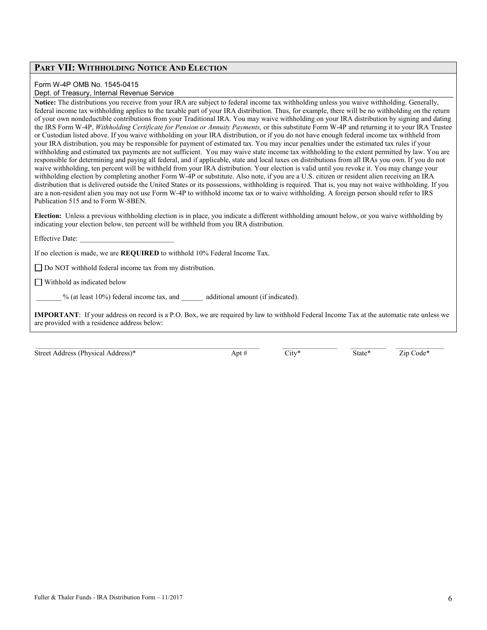### **PART VII: WITHHOLDING NOTICE AND ELECTION**

#### Form W-4P OMB No. 1545-0415

#### Dept. of Treasury, Internal Revenue Service

**Notice:** The distributions you receive from your IRA are subject to federal income tax withholding unless you waive withholding. Generally, federal income tax withholding applies to the taxable part of your IRA distribution. Thus, for example, there will be no withholding on the return of your own nondeductible contributions from your Traditional IRA. You may waive withholding on your IRA distribution by signing and dating the IRS Form W-4P, Withholding Certificate for Pension or Annuity Payments, or this substitute Form W-4P and returning it to your IRA Trustee or Custodian listed above. If you waive withholding on your IRA distribution, or if you do not have enough federal income tax withheld from your IRA distribution, you may be responsible for payment of estimated tax. You may incur penalties under the estimated tax rules if your withholding and estimated tax payments are not sufficient. You may waive state income tax withholding to the extent permitted by law. You are responsible for determining and paying all federal, and if applicable, state and local taxes on distributions from all IRAs you own. If you do not waive withholding, ten percent will be withheld from your IRA distribution. Your election is valid until you revoke it. You may change your withholding election by completing another Form W-4P or substitute. Also note, if you are a U.S. citizen or resident alien receiving an IRA distribution that is delivered outside the United States or its possessions, withholding is required. That is, you may not waive withholding. If you are a non-resident alien you may not use Form W-4P to withhold income tax or to waive withholding. A foreign person should refer to IRS Publication 515 and to Form W-8BEN.

**Election:** Unless a previous withholding election is in place, you indicate a different withholding amount below, or you waive withholding by indicating your election below, ten percent will be withheld from you IRA distribution.

#### Effective Date:

If no election is made, we are **REQUIRED** to withhold 10% Federal Income Tax.

□ Do NOT withhold federal income tax from my distribution.

Withhold as indicated below

% (at least 10%) federal income tax, and additional amount (if indicated).

**IMPORTANT**: If your address on record is a P.O. Box, we are required by law to withhold Federal Income Tax at the automatic rate unless we are provided with a residence address below:

| Street Address (Physical Address)* | Apt # | $\mathcal{L}1\text{tV}^*$ | State* | $\mathrm{Code}^*$<br>∠id |
|------------------------------------|-------|---------------------------|--------|--------------------------|
|------------------------------------|-------|---------------------------|--------|--------------------------|

 $\_$  ,  $\_$  ,  $\_$  ,  $\_$  ,  $\_$  ,  $\_$  ,  $\_$  ,  $\_$  ,  $\_$  ,  $\_$  ,  $\_$  ,  $\_$  ,  $\_$  ,  $\_$  ,  $\_$  ,  $\_$  ,  $\_$  ,  $\_$  ,  $\_$  ,  $\_$  ,  $\_$  ,  $\_$  ,  $\_$  ,  $\_$  ,  $\_$  ,  $\_$  ,  $\_$  ,  $\_$  ,  $\_$  ,  $\_$  ,  $\_$  ,  $\_$  ,  $\_$  ,  $\_$  ,  $\_$  ,  $\_$  ,  $\_$  ,